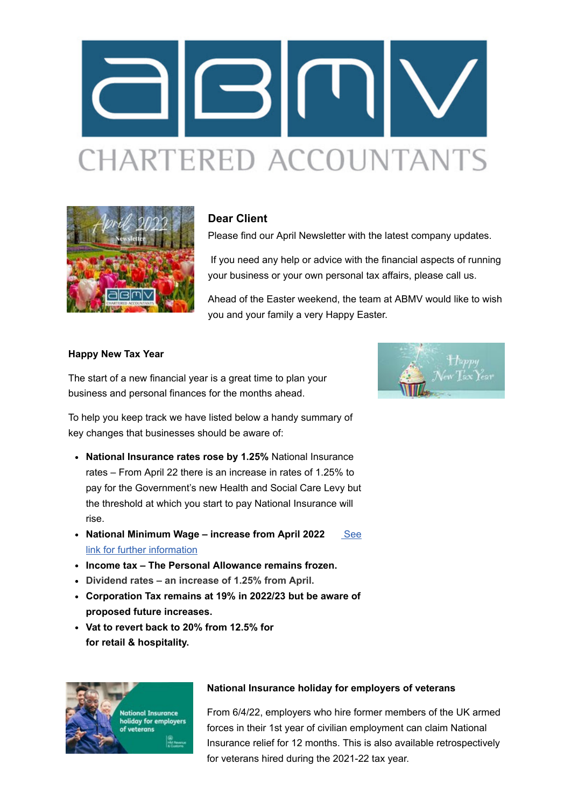



## **Dear Client**

Please find our April Newsletter with the latest company updates.

If you need any help or advice with the financial aspects of running your business or your own personal tax affairs, please call us.

Ahead of the Easter weekend, the team at ABMV would like to wish you and your family a very Happy Easter.

#### **Happy New Tax Year**

The start of a new financial year is a great time to plan your business and personal finances for the months ahead.

To help you keep track we have listed below a handy summary of key changes that businesses should be aware of:

- **National Insurance rates rose by 1.25%** National Insurance rates – From April 22 there is an increase in rates of 1.25% to pay for the Government's new Health and Social Care Levy but the threshold at which you start to pay National Insurance will rise.
- National Minimum Wage increase from April 2022 **See** link for further information
- **Income tax The Personal Allowance remains frozen.**
- **Dividend rates an increase of 1.25% from April.**
- **Corporation Tax remains at 19% in 2022/23 but be aware of proposed future increases.**
- **Vat to revert back to 20% from 12.5% for for retail & hospitality.**



#### **National Insurance holiday for employers of veterans**

From 6/4/22, employers who hire former members of the UK armed forces in their 1st year of civilian employment can claim National Insurance relief for 12 months. This is also available retrospectively for veterans hired during the 2021-22 tax year.

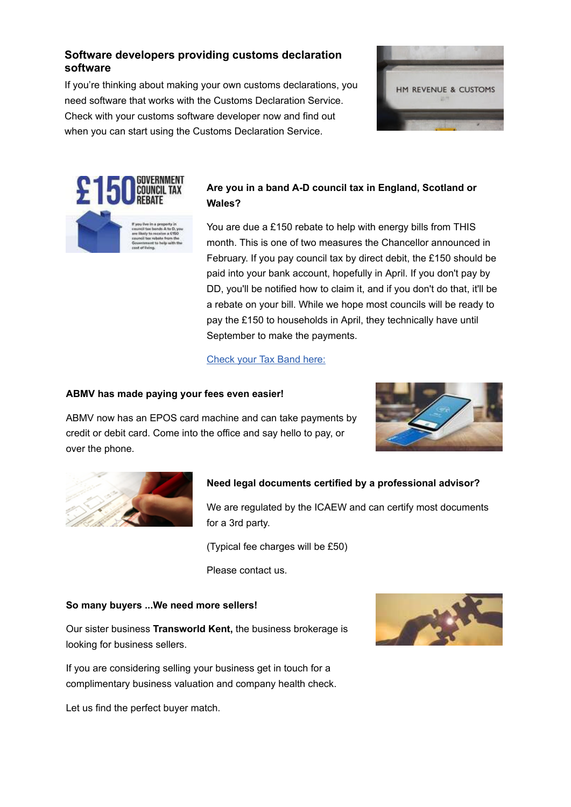# **Software developers providing customs declaration software**

If you're thinking about making your own customs declarations, you need software that works with the Customs Declaration Service. Check with your customs software developer now and find out when you can start using the Customs Declaration Service.





# **Are you in a band A-D council tax in England, Scotland or Wales?**

[You are due a £150 rebate to help w](http://click.maildeliveri.es/ls/click?upn=CUpFtyXQXbii-2BFRRdEIha0I8k83668B-2BubQn4INBpuJv5-2BJ8Xbs-2BI6q5MJGc4vsMzHVkZfu0EFSkfmEt-2FJtDYISO6jc6SZeovKXwy7VMJXU-3Dc-Cz_JvLSh5-2BVlgqI1TZvmaXxSK4z9DRMK-2Ftcys2RtGAd6JBj7P2nG0-2FpvJuCtGFYD-2FgQNiwSYemEXhA9l8Q-2BGiCQdTlopf4gYbuzki4fOpaFNbzO3gsHVlvxwTOO1VWvpN4jy2ptwp2MxcTv50CgFYjd8BZxzsBo0YIUtPTZR0JXrLplpAJ8zZya5XjJvW6o6jRUB0RhIoTwdFnxZz4yz-2BF6yWUY05CuBQt4sJgJB-2FAY-2FacsyQpoy6RqS-2FpeE8fWDJTnjf5jm5w5pbnNFF1eBHM2B6IypXy5Yh1grEH-2B6aMhmYBcxbcxsusoH21DHP5qUIpF)ith energy bills from THIS month. This is one of two measures the Chancellor announced in February. If you pay council tax by direct debit, the £150 should be paid into your bank account, hopefully in April. If you don't pay by DD, you'll be notified how to claim it, and if you don't do that, it'll be a rebate on your bill. While we hope most councils will be ready to pay the £150 to households in April, they technically have until September to make the payments.

## Check your Tax Band here:

#### **ABMV has made paying your fees even easier!**

ABMV now has an EPOS card machine and can take payments by credit or debit card. Come into the office and say hello to pay, or over the phone.





## **Need legal documents certified by a professional advisor?**

We are regulated by the ICAEW and can certify most documents for a 3rd party.

(Typical fee charges will be £50)

Please contact us.

#### **So many buyers ...We need more sellers!**

Our sister business **Transworld Kent,** the business brokerage is looking for business sellers.

If you are considering selling your business get in touch for a complimentary business valuation and company health check.

Let us find the perfect buyer match.

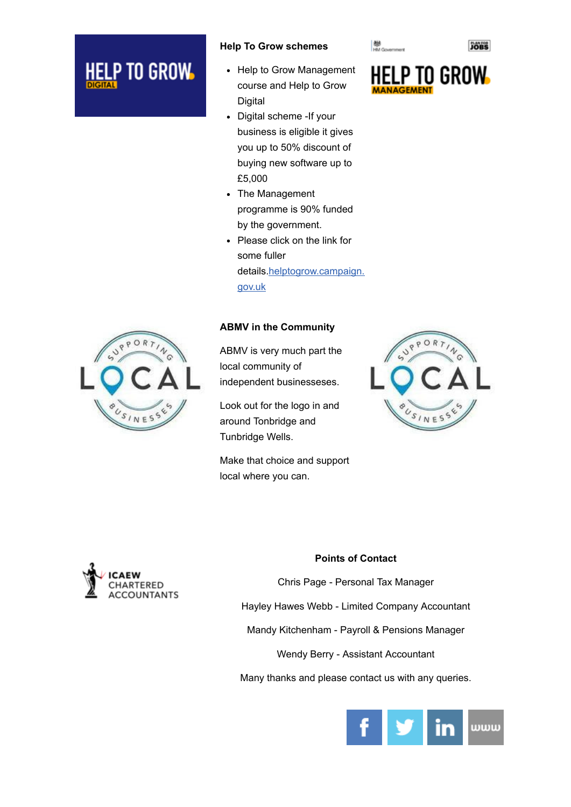# P TO GROW <u>HEI</u>

#### **Help To Grow schemes**

- Help to Grow Management course and Help to Grow Digital
- Digital scheme -If your business is eligible it gives you up to 50% discount of buying new software up to £5,000
- The Management programme is 90% funded by the government.
- Please click on the link for some fuller details.helptogrow.campaign. gov.uk

## **ABMV in the Community**

ABMV is very much part the local community of independent businesseses.

Look out for the logo in and around Tonbridge and Tunbridge Wells.

Make that choice and support local where you can.



**数**<br>HM Government







#### **Points of Contact**

Chris Page - Personal Tax Manager Hayley Hawes Webb - Limited Company Accountant Mandy Kitchenham - Payroll & Pensions Manager Wendy Berry - Assistant Accountant Many thanks and please contact us with any queries.



**JOBS**